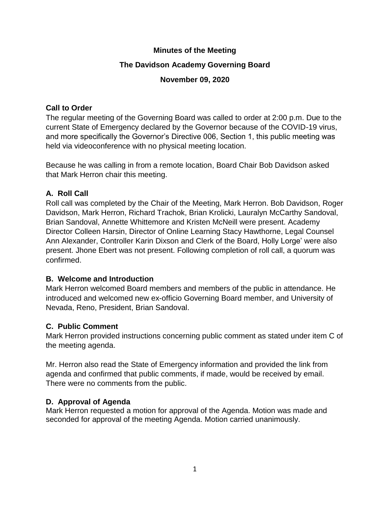## **Minutes of the Meeting**

## **The Davidson Academy Governing Board**

## **November 09, 2020**

## **Call to Order**

The regular meeting of the Governing Board was called to order at 2:00 p.m. Due to the current State of Emergency declared by the Governor because of the COVID-19 virus, and more specifically the Governor's Directive 006, Section 1, this public meeting was held via videoconference with no physical meeting location.

Because he was calling in from a remote location, Board Chair Bob Davidson asked that Mark Herron chair this meeting.

# **A. Roll Call**

Roll call was completed by the Chair of the Meeting, Mark Herron. Bob Davidson, Roger Davidson, Mark Herron, Richard Trachok, Brian Krolicki, Lauralyn McCarthy Sandoval, Brian Sandoval, Annette Whittemore and Kristen McNeill were present. Academy Director Colleen Harsin, Director of Online Learning Stacy Hawthorne, Legal Counsel Ann Alexander, Controller Karin Dixson and Clerk of the Board, Holly Lorge' were also present. Jhone Ebert was not present. Following completion of roll call, a quorum was confirmed.

# **B. Welcome and Introduction**

Mark Herron welcomed Board members and members of the public in attendance. He introduced and welcomed new ex-officio Governing Board member, and University of Nevada, Reno, President, Brian Sandoval.

# **C. Public Comment**

Mark Herron provided instructions concerning public comment as stated under item C of the meeting agenda.

Mr. Herron also read the State of Emergency information and provided the link from agenda and confirmed that public comments, if made, would be received by email. There were no comments from the public.

# **D. Approval of Agenda**

Mark Herron requested a motion for approval of the Agenda. Motion was made and seconded for approval of the meeting Agenda. Motion carried unanimously.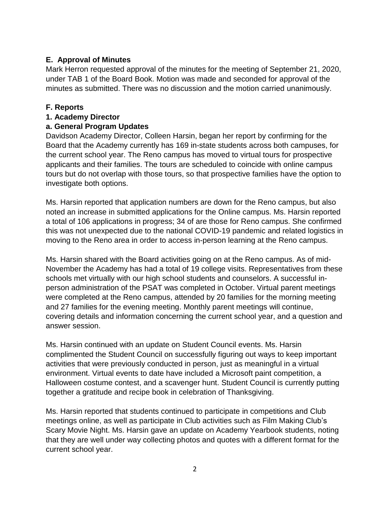## **E. Approval of Minutes**

Mark Herron requested approval of the minutes for the meeting of September 21, 2020, under TAB 1 of the Board Book. Motion was made and seconded for approval of the minutes as submitted. There was no discussion and the motion carried unanimously.

#### **F. Reports**

#### **1. Academy Director**

### **a. General Program Updates**

Davidson Academy Director, Colleen Harsin, began her report by confirming for the Board that the Academy currently has 169 in-state students across both campuses, for the current school year. The Reno campus has moved to virtual tours for prospective applicants and their families. The tours are scheduled to coincide with online campus tours but do not overlap with those tours, so that prospective families have the option to investigate both options.

Ms. Harsin reported that application numbers are down for the Reno campus, but also noted an increase in submitted applications for the Online campus. Ms. Harsin reported a total of 106 applications in progress; 34 of are those for Reno campus. She confirmed this was not unexpected due to the national COVID-19 pandemic and related logistics in moving to the Reno area in order to access in-person learning at the Reno campus.

Ms. Harsin shared with the Board activities going on at the Reno campus. As of mid-November the Academy has had a total of 19 college visits. Representatives from these schools met virtually with our high school students and counselors. A successful inperson administration of the PSAT was completed in October. Virtual parent meetings were completed at the Reno campus, attended by 20 families for the morning meeting and 27 families for the evening meeting. Monthly parent meetings will continue, covering details and information concerning the current school year, and a question and answer session.

Ms. Harsin continued with an update on Student Council events. Ms. Harsin complimented the Student Council on successfully figuring out ways to keep important activities that were previously conducted in person, just as meaningful in a virtual environment. Virtual events to date have included a Microsoft paint competition, a Halloween costume contest, and a scavenger hunt. Student Council is currently putting together a gratitude and recipe book in celebration of Thanksgiving.

Ms. Harsin reported that students continued to participate in competitions and Club meetings online, as well as participate in Club activities such as Film Making Club's Scary Movie Night. Ms. Harsin gave an update on Academy Yearbook students, noting that they are well under way collecting photos and quotes with a different format for the current school year.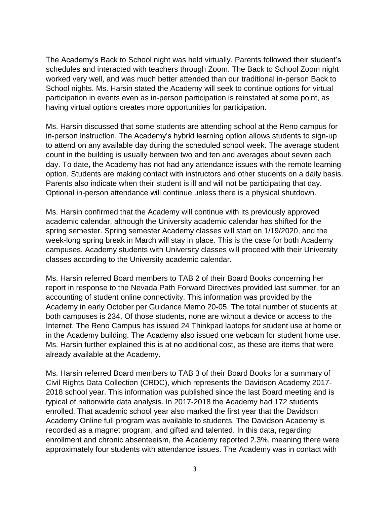The Academy's Back to School night was held virtually. Parents followed their student's schedules and interacted with teachers through Zoom. The Back to School Zoom night worked very well, and was much better attended than our traditional in-person Back to School nights. Ms. Harsin stated the Academy will seek to continue options for virtual participation in events even as in-person participation is reinstated at some point, as having virtual options creates more opportunities for participation.

Ms. Harsin discussed that some students are attending school at the Reno campus for in-person instruction. The Academy's hybrid learning option allows students to sign-up to attend on any available day during the scheduled school week. The average student count in the building is usually between two and ten and averages about seven each day. To date, the Academy has not had any attendance issues with the remote learning option. Students are making contact with instructors and other students on a daily basis. Parents also indicate when their student is ill and will not be participating that day. Optional in-person attendance will continue unless there is a physical shutdown.

Ms. Harsin confirmed that the Academy will continue with its previously approved academic calendar, although the University academic calendar has shifted for the spring semester. Spring semester Academy classes will start on 1/19/2020, and the week-long spring break in March will stay in place. This is the case for both Academy campuses. Academy students with University classes will proceed with their University classes according to the University academic calendar.

Ms. Harsin referred Board members to TAB 2 of their Board Books concerning her report in response to the Nevada Path Forward Directives provided last summer, for an accounting of student online connectivity. This information was provided by the Academy in early October per Guidance Memo 20-05. The total number of students at both campuses is 234. Of those students, none are without a device or access to the Internet. The Reno Campus has issued 24 Thinkpad laptops for student use at home or in the Academy building. The Academy also issued one webcam for student home use. Ms. Harsin further explained this is at no additional cost, as these are items that were already available at the Academy.

Ms. Harsin referred Board members to TAB 3 of their Board Books for a summary of Civil Rights Data Collection (CRDC), which represents the Davidson Academy 2017- 2018 school year. This information was published since the last Board meeting and is typical of nationwide data analysis. In 2017-2018 the Academy had 172 students enrolled. That academic school year also marked the first year that the Davidson Academy Online full program was available to students. The Davidson Academy is recorded as a magnet program, and gifted and talented. In this data, regarding enrollment and chronic absenteeism, the Academy reported 2.3%, meaning there were approximately four students with attendance issues. The Academy was in contact with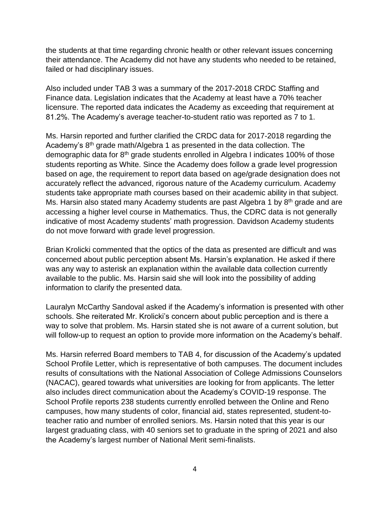the students at that time regarding chronic health or other relevant issues concerning their attendance. The Academy did not have any students who needed to be retained, failed or had disciplinary issues.

Also included under TAB 3 was a summary of the 2017-2018 CRDC Staffing and Finance data. Legislation indicates that the Academy at least have a 70% teacher licensure. The reported data indicates the Academy as exceeding that requirement at 81.2%. The Academy's average teacher-to-student ratio was reported as 7 to 1.

Ms. Harsin reported and further clarified the CRDC data for 2017-2018 regarding the Academy's 8<sup>th</sup> grade math/Algebra 1 as presented in the data collection. The demographic data for 8<sup>th</sup> grade students enrolled in Algebra I indicates 100% of those students reporting as White. Since the Academy does follow a grade level progression based on age, the requirement to report data based on age/grade designation does not accurately reflect the advanced, rigorous nature of the Academy curriculum. Academy students take appropriate math courses based on their academic ability in that subject. Ms. Harsin also stated many Academy students are past Algebra 1 by  $8<sup>th</sup>$  grade and are accessing a higher level course in Mathematics. Thus, the CDRC data is not generally indicative of most Academy students' math progression. Davidson Academy students do not move forward with grade level progression.

Brian Krolicki commented that the optics of the data as presented are difficult and was concerned about public perception absent Ms. Harsin's explanation. He asked if there was any way to asterisk an explanation within the available data collection currently available to the public. Ms. Harsin said she will look into the possibility of adding information to clarify the presented data.

Lauralyn McCarthy Sandoval asked if the Academy's information is presented with other schools. She reiterated Mr. Krolicki's concern about public perception and is there a way to solve that problem. Ms. Harsin stated she is not aware of a current solution, but will follow-up to request an option to provide more information on the Academy's behalf.

Ms. Harsin referred Board members to TAB 4, for discussion of the Academy's updated School Profile Letter, which is representative of both campuses. The document includes results of consultations with the National Association of College Admissions Counselors (NACAC), geared towards what universities are looking for from applicants. The letter also includes direct communication about the Academy's COVID-19 response. The School Profile reports 238 students currently enrolled between the Online and Reno campuses, how many students of color, financial aid, states represented, student-toteacher ratio and number of enrolled seniors. Ms. Harsin noted that this year is our largest graduating class, with 40 seniors set to graduate in the spring of 2021 and also the Academy's largest number of National Merit semi-finalists.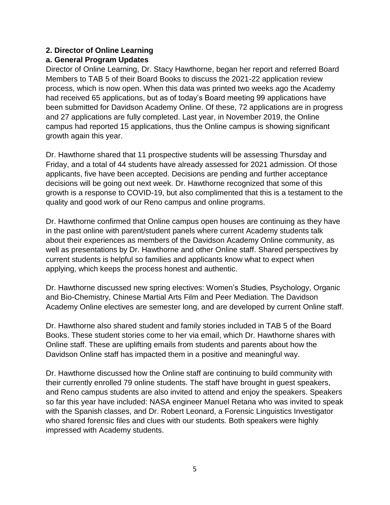### **2. Director of Online Learning**

## **a. General Program Updates**

Director of Online Learning, Dr. Stacy Hawthorne, began her report and referred Board Members to TAB 5 of their Board Books to discuss the 2021-22 application review process, which is now open. When this data was printed two weeks ago the Academy had received 65 applications, but as of today's Board meeting 99 applications have been submitted for Davidson Academy Online. Of these, 72 applications are in progress and 27 applications are fully completed. Last year, in November 2019, the Online campus had reported 15 applications, thus the Online campus is showing significant growth again this year.

Dr. Hawthorne shared that 11 prospective students will be assessing Thursday and Friday, and a total of 44 students have already assessed for 2021 admission. Of those applicants, five have been accepted. Decisions are pending and further acceptance decisions will be going out next week. Dr. Hawthorne recognized that some of this growth is a response to COVID-19, but also complimented that this is a testament to the quality and good work of our Reno campus and online programs.

Dr. Hawthorne confirmed that Online campus open houses are continuing as they have in the past online with parent/student panels where current Academy students talk about their experiences as members of the Davidson Academy Online community, as well as presentations by Dr. Hawthorne and other Online staff. Shared perspectives by current students is helpful so families and applicants know what to expect when applying, which keeps the process honest and authentic.

Dr. Hawthorne discussed new spring electives: Women's Studies, Psychology, Organic and Bio-Chemistry, Chinese Martial Arts Film and Peer Mediation. The Davidson Academy Online electives are semester long, and are developed by current Online staff.

Dr. Hawthorne also shared student and family stories included in TAB 5 of the Board Books. These student stories come to her via email, which Dr. Hawthorne shares with Online staff. These are uplifting emails from students and parents about how the Davidson Online staff has impacted them in a positive and meaningful way.

Dr. Hawthorne discussed how the Online staff are continuing to build community with their currently enrolled 79 online students. The staff have brought in guest speakers, and Reno campus students are also invited to attend and enjoy the speakers. Speakers so far this year have included: NASA engineer Manuel Retana who was invited to speak with the Spanish classes, and Dr. Robert Leonard, a Forensic Linguistics Investigator who shared forensic files and clues with our students. Both speakers were highly impressed with Academy students.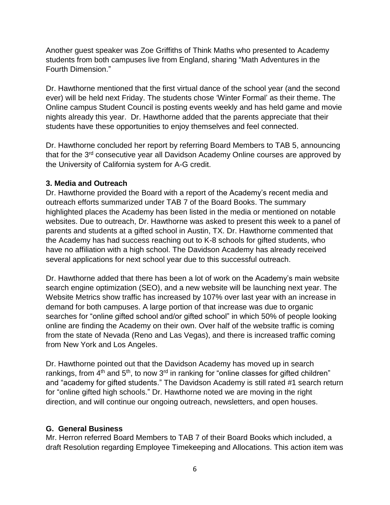Another guest speaker was Zoe Griffiths of Think Maths who presented to Academy students from both campuses live from England, sharing "Math Adventures in the Fourth Dimension."

Dr. Hawthorne mentioned that the first virtual dance of the school year (and the second ever) will be held next Friday. The students chose 'Winter Formal' as their theme. The Online campus Student Council is posting events weekly and has held game and movie nights already this year. Dr. Hawthorne added that the parents appreciate that their students have these opportunities to enjoy themselves and feel connected.

Dr. Hawthorne concluded her report by referring Board Members to TAB 5, announcing that for the 3<sup>rd</sup> consecutive year all Davidson Academy Online courses are approved by the University of California system for A-G credit.

#### **3. Media and Outreach**

Dr. Hawthorne provided the Board with a report of the Academy's recent media and outreach efforts summarized under TAB 7 of the Board Books. The summary highlighted places the Academy has been listed in the media or mentioned on notable websites. Due to outreach, Dr. Hawthorne was asked to present this week to a panel of parents and students at a gifted school in Austin, TX. Dr. Hawthorne commented that the Academy has had success reaching out to K-8 schools for gifted students, who have no affiliation with a high school. The Davidson Academy has already received several applications for next school year due to this successful outreach.

Dr. Hawthorne added that there has been a lot of work on the Academy's main website search engine optimization (SEO), and a new website will be launching next year. The Website Metrics show traffic has increased by 107% over last year with an increase in demand for both campuses. A large portion of that increase was due to organic searches for "online gifted school and/or gifted school" in which 50% of people looking online are finding the Academy on their own. Over half of the website traffic is coming from the state of Nevada (Reno and Las Vegas), and there is increased traffic coming from New York and Los Angeles.

Dr. Hawthorne pointed out that the Davidson Academy has moved up in search rankings, from  $4<sup>th</sup>$  and  $5<sup>th</sup>$ , to now  $3<sup>rd</sup>$  in ranking for "online classes for gifted children" and "academy for gifted students." The Davidson Academy is still rated #1 search return for "online gifted high schools." Dr. Hawthorne noted we are moving in the right direction, and will continue our ongoing outreach, newsletters, and open houses.

### **G. General Business**

Mr. Herron referred Board Members to TAB 7 of their Board Books which included, a draft Resolution regarding Employee Timekeeping and Allocations. This action item was